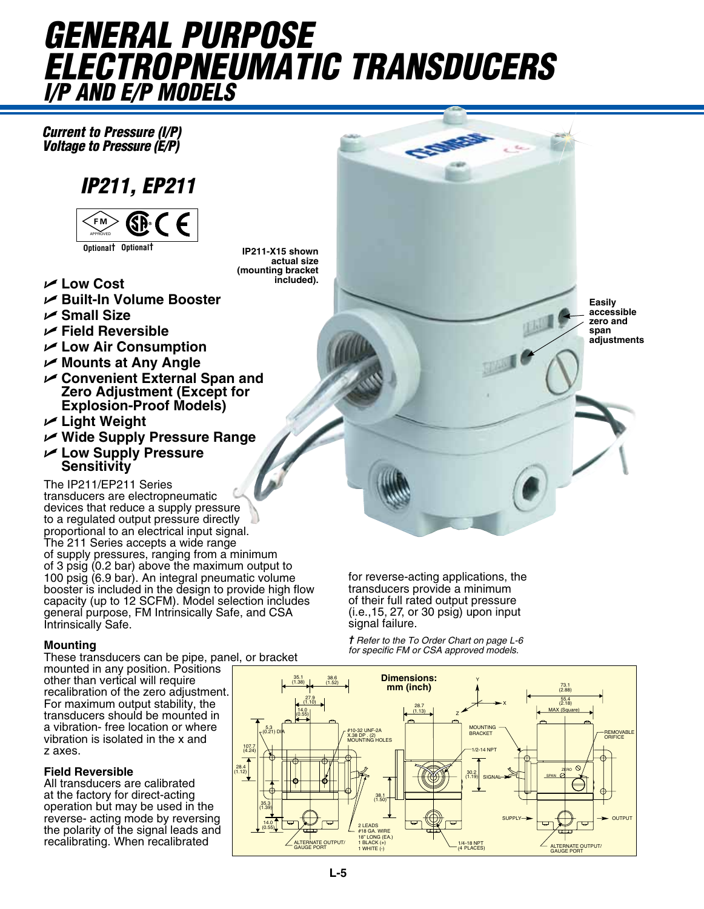# *GENERAL PURPOSE ELECTROPNEUMATIC TRANSDUCERS I/P and E/P Models*

*Current to Pressure (I/P) Voltage to Pressure (E/P)*

### *IP211, EP211*



- U **Low Cost**
- U **Built-In Volume Booster**
- U **Small Size**
- U **Field Reversible**
- U **Low Air Consumption**
- **► Mounts at Any Angle**
- **Convenient External Span and Zero Adjustment (Except for Explosion-Proof Models)**
- **∠** Light Weight
- **► Wide Supply Pressure Range**
- U **Low Supply Pressure Sensitivity**

The IP211/EP211 Series transducers are electropneumatic devices that reduce a supply pressure to a regulated output pressure directly proportional to an electrical input signal. The 211 Series accepts a wide range of supply pressures, ranging from a minimum of 3 psig (0.2 bar) above the maximum output to 100 psig (6.9 bar). An integral pneumatic volume booster is included in the design to provide high flow capacity (up to 12 SCFM). Model selection includes general purpose, FM Intrinsically Safe, and CSA Intrinsically Safe.

#### **Mounting**

These transducers can be pipe, panel, or bracket mounted in any position. Positions other than vertical will require recalibration of the zero adjustment. For maximum output stability, the transducers should be mounted in a vibration- free location or where vibration is isolated in the x and z axes.

#### **Field Reversible**

All transducers are calibrated at the factory for direct-acting operation but may be used in the reverse- acting mode by reversing the polarity of the signal leads and recalibrating. When recalibrated

**IP211-X15 shown actual size (mounting bracket included).**

**L-5**

**Easily accessible zero and span adjustments**

for reverse-acting applications, the transducers provide a minimum of their full rated output pressure (i.e.,15, 27, or 30 psig) upon input signal failure.

*† Refer to the To Order Chart on page L-6 for specific FM or CSA approved models.*